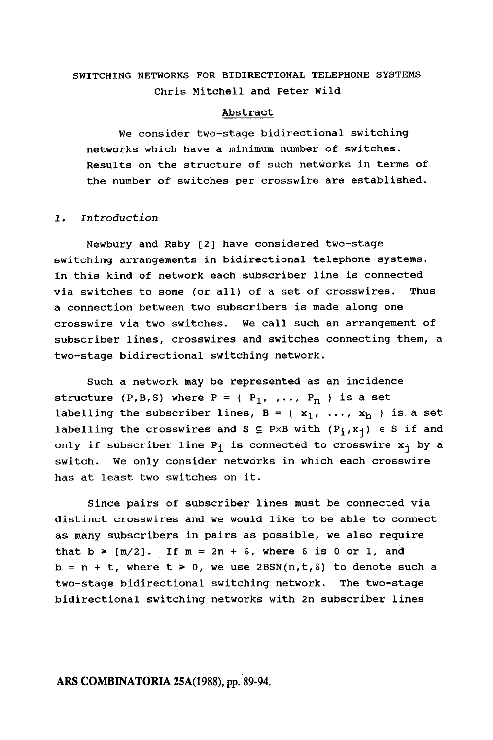# SWITCHING NETWORKS FOR BIDIRECTIONAL TELEPHONE SYSTEMS Chris Mitchell and Peter wild

### Abstract

We consider two-stage bidirectional switching networks which have a minimum number of switches. Results on the structure of such networks in terms of the number of switches per crosswire are established.

### Introduction

Newbury and Raby [2] have considered two-stage switching arrangements in bidirectional telephone systems. In this kind of network each subscriber line is connected via switches to some (or all) of a set of crosswires. Thus a connection between two subscribers is made along one crosswire via two switches. We call such an arrangement of subscriber lines, crosswires and switches connecting them, a two-stage bidirectional switching network.

Such a network may be represented as an incidence structure (P,B,S) where  $P = {P_1, ..., P_m}$  is a set labelling the subscriber lines,  $B = \{x_1, ..., x_b\}$  is a set labelling the crosswires and S  $\subseteq$  PxB with  $(P_i, x_j) \in S$  if and only if subscriber line  $P_i$  is connected to crosswire  $x_i$  by a switch. We only consider networks in which each crosswire has at least two switches on it.

since pairs of subscriber lines must be connected via distinct crosswires and we would like to be able to connect as many subscribers in pairs as possible, we also require that  $b \geq [m/2]$ . If  $m = 2n + \delta$ , where  $\delta$  is 0 or 1, and  $b = n + t$ , where  $t \ge 0$ , we use 2BSN(n,  $t$ ,  $\delta$ ) to denote such a two-stage bidirectional switching network. The two-stage bidirectional switching networks with 2n subscriber lines

## ARS COMBINATORIA 25A(1988), pp. 89-94.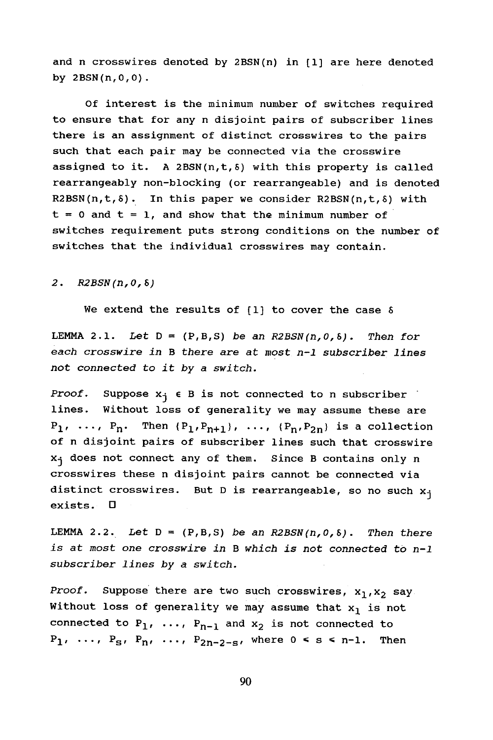and n crosswires denoted by 2BSN(n) in [1] are here denoted by 2BSN(n,O,O).

Of interest is the minimum number of switches required to ensure that for any n disjoint pairs of subscriber lines there is an assignment of distinct crosswires to the pairs such that each pair may be connected via the crosswire assigned to it. A 2BSN $(n,t, \delta)$  with this property is called rearrangeably non-blocking (or rearrangeable) and is denoted  $R2BSN(n,t, \delta)$ . In this paper we consider  $R2BSN(n,t, \delta)$  with  $t = 0$  and  $t = 1$ , and show that the minimum number of switches requirement puts strong conditions on the number of switches that the individual crosswires may contain.

### 2. R2BSN(n, 0, 8)

We extend the results of  $[1]$  to cover the case  $\delta$ 

LEMMA 2.1. Let  $D = (P, B, S)$  be an R2BSN(n, 0, 8). Then for each crosswire in B there are at most  $n-1$  subscriber lines not connected to it by a switch.

Proof. Suppose  $x_i \in B$  is not connected to n subscriber. lines. Without loss of generality we may assume these are  $P_1$ , ...,  $P_n$ . Then  $\{P_1, P_{n+1}\}$ , ...,  $\{P_n, P_{2n}\}$  is a collection of n disjoint pairs of subscriber lines such that crosswire  $x_j$  does not connect any of them. Since B contains only n crosswires these n disjoint pairs cannot be connected via distinct crosswires. But D is rearrangeable, so no such  $x_j$ exists. D

LEMMA 2.2. Let  $D = (P, B, S)$  be an R2BSN(n, 0, 8). Then there at most one crosswire in B which is not connected to n-l subscriber lines by a switch.

Proof. Suppose there are two such crosswires,  $x_1, x_2$  say Without loss of generality we may assume that  $x_1$  is not connected to  $P_1$ , ...,  $P_{n-1}$  and  $x_2$  is not connected to  $P_1$ , ...,  $P_S$ ,  $P_n$ , ...,  $P_{2n-2-s}$ , where  $0 \leq s \leq n-1$ . Then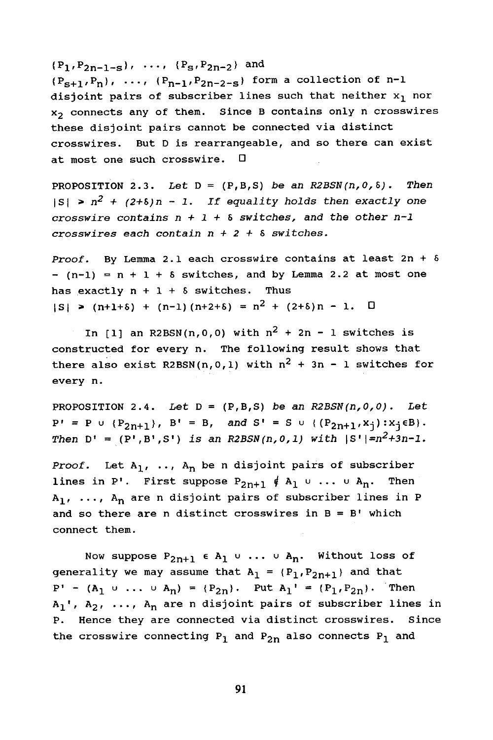$(P_1, P_{2n-1-s})$ , ...,  $\{P_s, P_{2n-2}\}\$  and

 ${P_{s+1},P_n}$ , ...,  ${P_{n-1},P_{2n-2-s}}$  form a collection of n-1 disjoint pairs of subscriber lines such that neither  $x_1$  nor X2 connects any of them. Since B contains only n crosswires these disjoint pairs cannot be connected via distinct crosswires. But D is rearrangeable, and so there can exist at most one such crosswire.  $\square$ 

PROPOSITION 2.3. Let  $D = (P, B, S)$  be an R2BSN(n,0,8). Then  $|S| \ge n^2 + (2+8)n - 1$ . If equality holds then exactly one crosswire contains  $n + 1 + \delta$  switches, and the other  $n-1$ crosswires each contain  $n + 2 + \delta$  switches.

Proof. By Lemma 2.1 each crosswire contains at least  $2n + \delta$  $-(n-1) = n + 1 + \delta$  switches, and by Lemma 2.2 at most one has exactly  $n + 1 + \delta$  switches. Thus  $|S|$  > (n+1+5) + (n-1) (n+2+5) =  $n^2$  + (2+5)n - 1. 0

In [1] an R2BSN(n,0,0) with  $n^2 + 2n - 1$  switches is constructed for every n. The following result shows that there also exist R2BSN(n,0,1) with  $n^2 + 3n - 1$  switches for every n.

PROPOSITION 2.4. Let  $D = (P, B, S)$  be an R2BSN(n,0,0). Let  $P' = P$  u {P<sub>2n+1</sub>}, B' = B, and S' = S u {(P<sub>2n+1</sub>, x<sub>j</sub>): x<sub>j</sub> \epsil}. Then  $D' = (P', B', S')$  is an R2BSN(n, 0, 1) with  $|S'| = n^2 + 3n - 1$ .

Proof. Let  $A_1$ , ..,  $A_n$  be n disjoint pairs of subscriber lines in P'. First suppose  $P_{2n+1} \notin A_1 \cup ... \cup A_n$ . Then  $A_1$ , ...,  $A_n$  are n disjoint pairs of subscriber lines in P and so there are n distinct crosswires in  $B = B'$  which connect them.

Now suppose  $P_{2n+1} \in A_1 \cup ... \cup A_n$ . Without loss of generality we may assume that  $A_1 = {P_1, P_{2n+1}}$  and that  $P' - (A_1 \cup ... \cup A_n) = (P_{2n})$ . Put  $A_1' = (P_1, P_{2n})$ . Then  $A_1'$ ,  $A_2$ , ...,  $A_n$  are n disjoint pairs of subscriber lines in P. Hence they are connected via distinct crosswires. Since the crosswire connecting  $P_1$  and  $P_{2n}$  also connects  $P_1$  and

91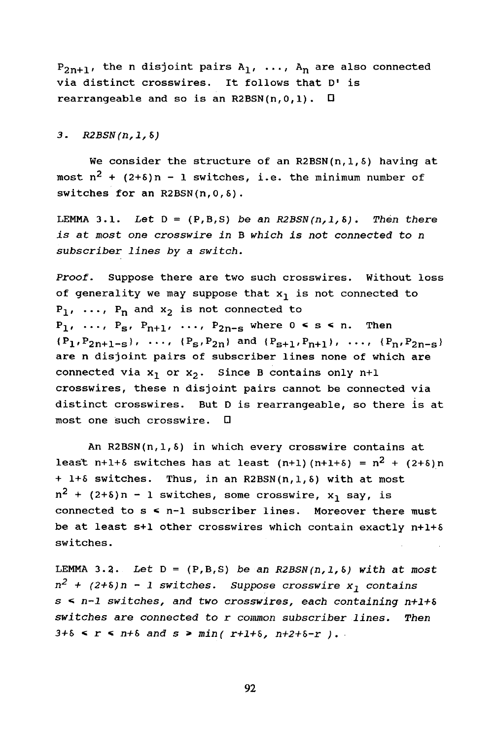$P_{2n+1}$ , the n disjoint pairs  $A_1$ , ...,  $A_n$  are also connected via distinct crosswires. It follows that D' is rearrangeable and so is an R2BSN(n,  $0, 1$ ).  $\Box$ 

3.  $R2BSN(n, 1, 8)$ 

We consider the structure of an R2BSN(n, 1, 8) having at most  $n^2$  + (2+6)n - 1 switches, i.e. the minimum number of switches for an R2BSN(n,O,&).

LEMMA 3.1. Let  $D = (P, B, S)$  be an R2BSN(n, 1, 8). Then there is at most one crosswire in B which is not connected to n subscriber lines by a switch.

Proof. Suppose there are two such crosswires. Without loss of generality we may suppose that  $x_1$  is not connected to  $P_1$ , ...,  $P_n$  and  $x_2$  is not connected to  $P_1$ , ...,  $P_S$ ,  $P_{n+1}$ , ...,  $P_{2n-S}$  where  $0 \leq s \leq n$ . Then  ${P_1, P_{2n+1-s}}, \ldots, {P_s, P_{2n}}$  and  ${P_{s+1}, P_{n+1}}$ , ...,  ${P_n, P_{2n-s}}$ are n disjoint pairs of subscriber lines none of which are connected via  $x_1$  or  $x_2$ . Since B contains only n+1 crosswires, these n disjoint pairs cannot be connected via distinct crosswires. But D is rearrangeable, so there is at most one such crosswire.  $\square$ 

An R2BSN(n,1,5) in which every crosswire contains at least n+1+6 switches has at least (n+1) (n+1+6) =  $n^2$  + (2+6)n + 1+5 switches. Thus, in an R2BSN(n,1,5) with at most  $n^2$  + (2+8)n - 1 switches, some crosswire,  $x_1$  say, is connected to  $s < n-1$  subscriber lines. Moreover there must be at least s+1 other crosswires which contain exactly  $n+1+5$ switches.

LEMMA 3.2. Let  $D = (P, B, S)$  be an R2BSN(n, 1, 8) with at most  $n^2$  + (2+8)n - 1 switches. Suppose crosswire  $x_1$  contains  $s \leq n-1$  switches, and two crosswires, each containing n+1+8  $switches$  are connected to  $r$  common subscriber lines. Then  $3+8 < r < n+8$  and  $s > min( r+1+8, n+2+8-r)$ .

92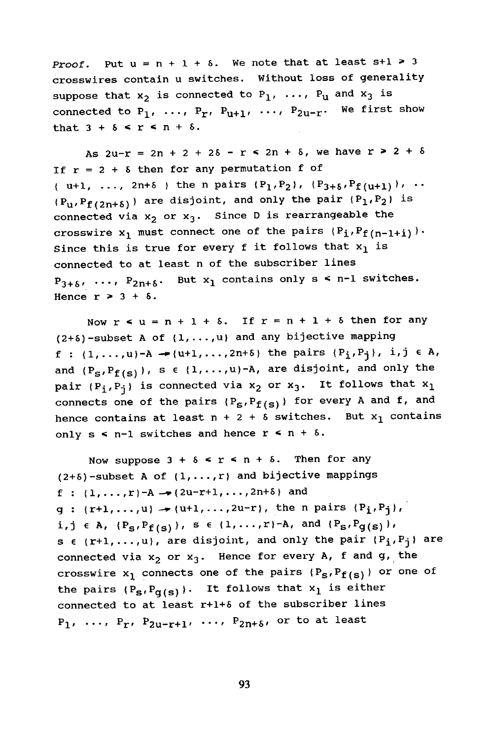**Proof.** Put  $u = n + 1 + 8$ . We note that at least  $s+1 \ge 3$ crosswires contain u switches. Without loss of generality suppose that  $x_2$  is connected to  $P_1$ , ...,  $P_u$  and  $x_3$  is connected to  $P_1$ , ...,  $P_r$ ,  $P_{u+1}$ , ...,  $P_{2u-r}$ . We first show that  $3 + \delta \leq r \leq n + \delta$ .

As  $2u-r = 2n + 2 + 2\delta - r$   $\leq$   $2n + \delta$ , we have  $r > 2 + \delta$ If  $r = 2 + \delta$  then for any permutation f of { u+1, ..., 2n+8 } the n pairs  $(P_1,P_2)'$ ,  $(P_{3+6},P_{f(u+1)})'$ , ..  $(P_u, P_{f(2n+δ)})$  are disjoint, and only the pair  $(P_1, P_2)$  is connected via  $x_2$  or  $x_3$ . Since D is rearrangeable the crosswire  $x_1$  must connect one of the pairs  $(P_i,P_{f(n-1+i)})$ . Since this is true for every f it follows that  $x_1$  is connected to at least n of the subscriber lines  $P_{3+\delta}$ , ...,  $P_{2n+\delta}$ . But  $x_1$  contains only  $s \leq n-1$  switches. Hence  $r > 3 + 8$ .

Now  $r$   $\leq u = n + 1 + \delta$ . If  $r = n + 1 + \delta$  then for any  $(2+5)$ -subset A of  $(1,\ldots,u)$  and any bijective mapping f :  $(1,...,u)-A$   $\rightarrow$   $(u+1,...,2n+8)$  the pairs  $(P_i,P_i)$ , i,j  $\in$  A, and  $(P_S, P_{f(S)})$ , s  $\epsilon$   $\{1, \ldots, u\}$ -A, are disjoint, and only the pair  $(P_i,P_j)$  is connected via  $x_2$  or  $x_3$ . It follows that  $x_1$ connects one of the pairs  $(P_S, P_{f(S)})$  for every A and f, and hence contains at least  $n + 2 + \delta$  switches. But  $x_1$  contains only  $s \leq n-1$  switches and hence  $r \leq n + \delta$ .

Now suppose  $3 + \delta \le r \le n + \delta$ . Then for any  $(2+5)$ -subset A of  $(1,\ldots,r)$  and bijective mappings f :  $(1, ..., r)-A \rightarrow (2u-r+1, ..., 2n+5)$  and  $g : {r+1, ..., u} \rightarrow {u+1, ..., 2u-r}$ , the n pairs  $(P_1, P_1)$ ,  $i,j \in A$ ,  $\{P_S, P_{f(s)}\}$ ,  $s \in \{1, ..., r\}$ -A, and  $\{P_S, P_{g(s)}\}$ , s  $\epsilon$  (r+1,...,u), are disjoint, and only the pair (P<sub>i</sub>,P<sub>j</sub>) are connected via  $x_2$  or  $x_3$ . Hence for every A, f and g, the crosswire  $x_1$  connects one of the pairs  $(P_S, P_{f(S)})$  or one of the pairs  $(P_S, P_{g(s)})$ . It follows that  $x_1$  is either connected to at least r+l+5 of the subscriber lines  $P_1$ , ...,  $P_r$ ,  $P_{2u-r+1}$ , ...,  $P_{2n+5}$ , or to at least